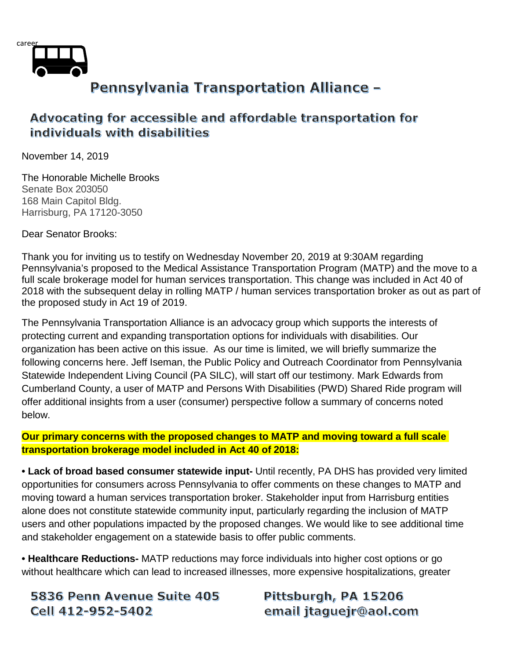

## Advocating for accessible and affordable transportation for individuals with disabilities

November 14, 2019

The Honorable Michelle Brooks Senate Box 203050 168 Main Capitol Bldg. Harrisburg, PA 17120-3050

Dear Senator Brooks:

Thank you for inviting us to testify on Wednesday November 20, 2019 at 9:30AM regarding Pennsylvania's proposed to the Medical Assistance Transportation Program (MATP) and the move to a full scale brokerage model for human services transportation. This change was included in Act 40 of 2018 with the subsequent delay in rolling MATP / human services transportation broker as out as part of the proposed study in Act 19 of 2019.

The Pennsylvania Transportation Alliance is an advocacy group which supports the interests of protecting current and expanding transportation options for individuals with disabilities. Our organization has been active on this issue. As our time is limited, we will briefly summarize the following concerns here. Jeff Iseman, the Public Policy and Outreach Coordinator from Pennsylvania Statewide Independent Living Council (PA SILC), will start off our testimony. Mark Edwards from Cumberland County, a user of MATP and Persons With Disabilities (PWD) Shared Ride program will offer additional insights from a user (consumer) perspective follow a summary of concerns noted below.

### **Our primary concerns with the proposed changes to MATP and moving toward a full scale transportation brokerage model included in Act 40 of 2018:**

**• Lack of broad based consumer statewide input-** Until recently, PA DHS has provided very limited opportunities for consumers across Pennsylvania to offer comments on these changes to MATP and moving toward a human services transportation broker. Stakeholder input from Harrisburg entities alone does not constitute statewide community input, particularly regarding the inclusion of MATP users and other populations impacted by the proposed changes. We would like to see additional time and stakeholder engagement on a statewide basis to offer public comments.

**• Healthcare Reductions-** MATP reductions may force individuals into higher cost options or go without healthcare which can lead to increased illnesses, more expensive hospitalizations, greater

5836 Penn Avenue Suite 405 Cell 412-952-5402

Pittsburgh, PA 15206 email jtaguejr@aol.com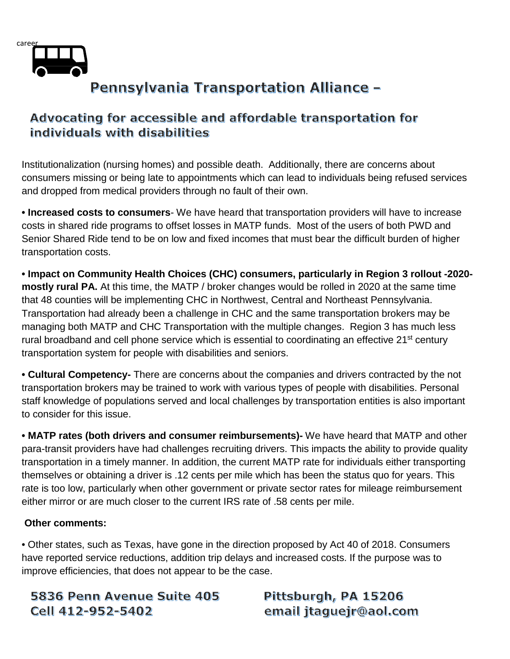

# Advocating for accessible and affordable transportation for individuals with disabilities

Institutionalization (nursing homes) and possible death. Additionally, there are concerns about consumers missing or being late to appointments which can lead to individuals being refused services and dropped from medical providers through no fault of their own.

**• Increased costs to consumers**- We have heard that transportation providers will have to increase costs in shared ride programs to offset losses in MATP funds. Most of the users of both PWD and Senior Shared Ride tend to be on low and fixed incomes that must bear the difficult burden of higher transportation costs.

**• Impact on Community Health Choices (CHC) consumers, particularly in Region 3 rollout -2020 mostly rural PA.** At this time, the MATP / broker changes would be rolled in 2020 at the same time that 48 counties will be implementing CHC in Northwest, Central and Northeast Pennsylvania. Transportation had already been a challenge in CHC and the same transportation brokers may be managing both MATP and CHC Transportation with the multiple changes. Region 3 has much less rural broadband and cell phone service which is essential to coordinating an effective 21<sup>st</sup> century transportation system for people with disabilities and seniors.

**• Cultural Competency-** There are concerns about the companies and drivers contracted by the not transportation brokers may be trained to work with various types of people with disabilities. Personal staff knowledge of populations served and local challenges by transportation entities is also important to consider for this issue.

**• MATP rates (both drivers and consumer reimbursements)-** We have heard that MATP and other para-transit providers have had challenges recruiting drivers. This impacts the ability to provide quality transportation in a timely manner. In addition, the current MATP rate for individuals either transporting themselves or obtaining a driver is .12 cents per mile which has been the status quo for years. This rate is too low, particularly when other government or private sector rates for mileage reimbursement either mirror or are much closer to the current IRS rate of .58 cents per mile.

### **Other comments:**

• Other states, such as Texas, have gone in the direction proposed by Act 40 of 2018. Consumers have reported service reductions, addition trip delays and increased costs. If the purpose was to improve efficiencies, that does not appear to be the case.

5836 Penn Avenue Suite 405 Cell 412-952-5402

Pittsburgh, PA 15206 email jtaguejr@aol.com